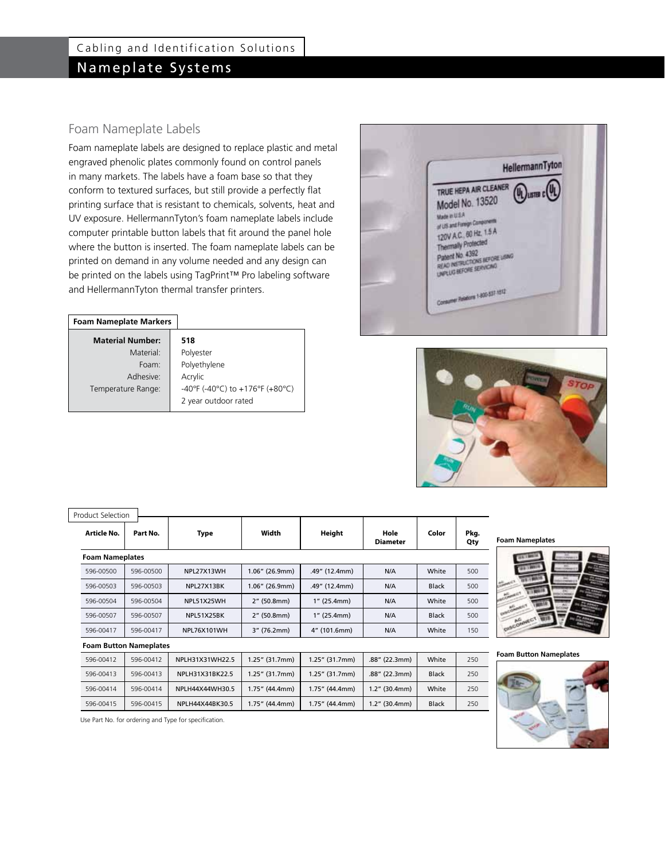## Foam Nameplate Labels

Foam nameplate labels are designed to replace plastic and metal engraved phenolic plates commonly found on control panels in many markets. The labels have a foam base so that they conform to textured surfaces, but still provide a perfectly flat printing surface that is resistant to chemicals, solvents, heat and UV exposure. HellermannTyton's foam nameplate labels include computer printable button labels that fit around the panel hole where the button is inserted. The foam nameplate labels can be printed on demand in any volume needed and any design can be printed on the labels using TagPrint™ Pro labeling software and HellermannTyton thermal transfer printers.

#### **Foam Nameplate Markers**

| <b>Material Number:</b> | 518                             |
|-------------------------|---------------------------------|
| Material:               | Polyester                       |
| Foam:                   | Polyethylene                    |
| Adhesive:               | Acrylic                         |
| Temperature Range:      | -40°F (-40°C) to +176°F (+80°C) |
|                         | 2 year outdoor rated            |





| <b>Product Selection</b> |                               |                    |                   |                |                  |              |             |                               |
|--------------------------|-------------------------------|--------------------|-------------------|----------------|------------------|--------------|-------------|-------------------------------|
| Article No.              | Part No.                      | Type               | Width             | Height         | Hole<br>Diameter | Color        | Pkg.<br>Qty | <b>Foam Nameplates</b>        |
| <b>Foam Nameplates</b>   |                               |                    |                   |                |                  |              |             |                               |
| 596-00500                | 596-00500                     | NPL27X13WH         | $1.06''$ (26.9mm) | .49" (12.4mm)  | N/A              | White        | 500         |                               |
| 596-00503                | 596-00503                     | NPL27X13BK         | $1.06''$ (26.9mm) | .49" (12.4mm)  | N/A              | <b>Black</b> | 500         |                               |
| 596-00504                | 596-00504                     | NPL51X25WH         | 2" (50.8mm)       | $1''$ (25.4mm) | N/A              | White        | 500         |                               |
| 596-00507                | 596-00507                     | NPL51X25BK         | 2" (50.8mm)       | $1''$ (25.4mm) | N/A              | <b>Black</b> | 500         | Set.                          |
| 596-00417                | 596-00417                     | <b>NPL76X101WH</b> | 3" (76.2mm)       | 4" (101.6mm)   | N/A              | White        | 150         | DISCOMMECT                    |
|                          | <b>Foam Button Nameplates</b> |                    |                   |                |                  |              |             |                               |
| 596-00412                | 596-00412                     | NPLH31X31WH22.5    | $1.25''$ (31.7mm) | 1.25" (31.7mm) | $.88''$ (22.3mm) | White        | 250         | <b>Foam Button Nameplates</b> |
| 596-00413                | 596-00413                     | NPLH31X31BK22.5    | $1.25''$ (31.7mm) | 1.25" (31.7mm) | .88" (22.3mm)    | <b>Black</b> | 250         |                               |
| 596-00414                | 596-00414                     | NPLH44X44WH30.5    | 1.75" (44.4mm)    | 1.75" (44.4mm) | $1.2''$ (30.4mm) | White        | 250         |                               |
| 596-00415                | 596-00415                     | NPLH44X44BK30.5    | 1.75" (44.4mm)    | 1.75" (44.4mm) | $1.2''$ (30.4mm) | <b>Black</b> | 250         |                               |





Use Part No. for ordering and Type for specification.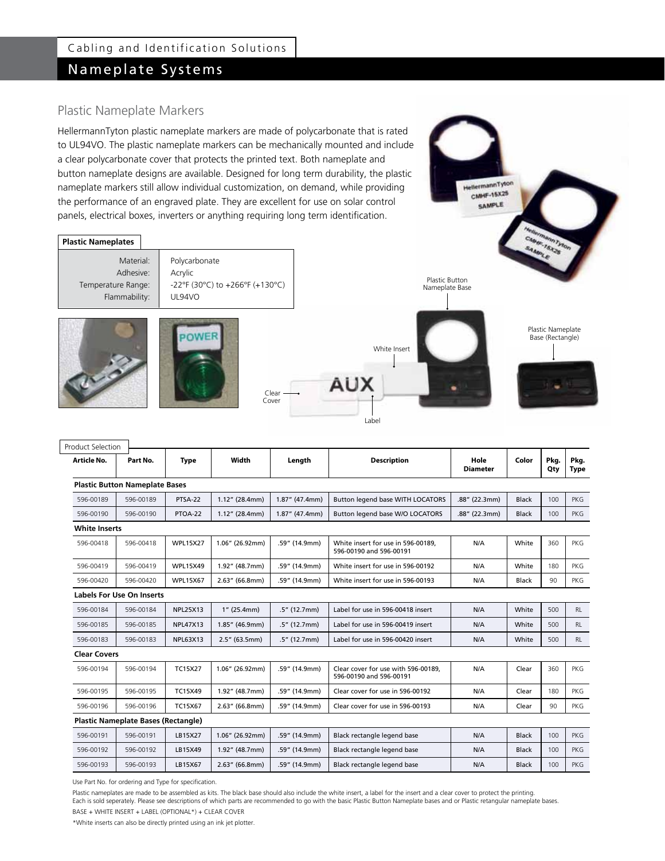# Nameplate Systems

## Plastic Nameplate Markers

HellermannTyton plastic nameplate markers are made of polycarbonate that is rated to UL94VO. The plastic nameplate markers can be mechanically mounted and include a clear polycarbonate cover that protects the printed text. Both nameplate and button nameplate designs are available. Designed for long term durability, the plastic nameplate markers still allow individual customization, on demand, while providing the performance of an engraved plate. They are excellent for use on solar control panels, electrical boxes, inverters or anything requiring long term identification.



HellermannTyton CMHF-15X25 SAMPLE

| <b>Product Selection</b>               |                                            |                 |                              |                   |                                                                |               |              |                     |            |
|----------------------------------------|--------------------------------------------|-----------------|------------------------------|-------------------|----------------------------------------------------------------|---------------|--------------|---------------------|------------|
| Article No.<br>Part No.<br><b>Type</b> |                                            | Width           | <b>Description</b><br>Length |                   | Hole<br><b>Diameter</b>                                        | Color         | Pkg.<br>Qty  | Pkg.<br><b>Type</b> |            |
|                                        | <b>Plastic Button Nameplate Bases</b>      |                 |                              |                   |                                                                |               |              |                     |            |
| 596-00189                              | 596-00189                                  | PTSA-22         | $1.12''$ (28.4mm)            | $1.87''$ (47.4mm) | Button legend base WITH LOCATORS                               | .88" (22.3mm) | <b>Black</b> | 100                 | <b>PKG</b> |
| 596-00190                              | 596-00190                                  | PTOA-22         | $1.12''$ (28.4mm)            | $1.87''$ (47.4mm) | Button legend base W/O LOCATORS                                | .88" (22.3mm) | <b>Black</b> | 100                 | <b>PKG</b> |
| <b>White Inserts</b>                   |                                            |                 |                              |                   |                                                                |               |              |                     |            |
| 596-00418                              | 596-00418                                  | <b>WPL15X27</b> | 1.06" (26.92mm)              | .59" (14.9mm)     | White insert for use in 596-00189.<br>596-00190 and 596-00191  | N/A           | White        | 360                 | <b>PKG</b> |
| 596-00419                              | 596-00419                                  | <b>WPL15X49</b> | 1.92" (48.7mm)               | .59" (14.9mm)     | White insert for use in 596-00192                              | N/A           | White        | 180                 | <b>PKG</b> |
| 596-00420                              | 596-00420                                  | <b>WPL15X67</b> | $2.63''$ (66.8mm)            | .59" (14.9mm)     | White insert for use in 596-00193                              | N/A           | <b>Black</b> | 90                  | <b>PKG</b> |
|                                        | <b>Labels For Use On Inserts</b>           |                 |                              |                   |                                                                |               |              |                     |            |
| 596-00184                              | 596-00184                                  | <b>NPL25X13</b> | $1''$ (25.4mm)               | $.5''$ (12.7mm)   | Label for use in 596-00418 insert                              | N/A           | White        | 500                 | <b>RL</b>  |
| 596-00185                              | 596-00185                                  | <b>NPL47X13</b> | 1.85" (46.9mm)               | $.5''$ (12.7mm)   | N/A<br>Label for use in 596-00419 insert                       |               | White        | 500                 | <b>RL</b>  |
| 596-00183                              | 596-00183                                  | <b>NPL63X13</b> | $2.5''$ (63.5mm)             | $.5''$ (12.7mm)   | Label for use in 596-00420 insert                              | N/A           | White        | 500                 | <b>RL</b>  |
| <b>Clear Covers</b>                    |                                            |                 |                              |                   |                                                                |               |              |                     |            |
| 596-00194                              | 596-00194                                  | <b>TC15X27</b>  | 1.06" (26.92mm)              | .59" (14.9mm)     | Clear cover for use with 596-00189,<br>596-00190 and 596-00191 | N/A           | Clear        | 360                 | <b>PKG</b> |
| 596-00195                              | 596-00195                                  | <b>TC15X49</b>  | 1.92" (48.7mm)               | .59" (14.9mm)     | Clear cover for use in 596-00192                               | N/A           | Clear        | 180                 | <b>PKG</b> |
| 596-00196                              | 596-00196                                  | <b>TC15X67</b>  | $2.63''$ (66.8mm)            | .59" (14.9mm)     | Clear cover for use in 596-00193                               | N/A           | Clear        | 90                  | <b>PKG</b> |
|                                        | <b>Plastic Nameplate Bases (Rectangle)</b> |                 |                              |                   |                                                                |               |              |                     |            |
| 596-00191                              | 596-00191                                  | LB15X27         | 1.06" (26.92mm)              | .59" (14.9mm)     | Black rectangle legend base                                    | N/A           | <b>Black</b> | 100                 | <b>PKG</b> |
| 596-00192                              | 596-00192                                  | LB15X49         | 1.92" (48.7mm)               | .59" (14.9mm)     | Black rectangle legend base                                    | N/A           | <b>Black</b> | 100                 | <b>PKG</b> |
| 596-00193                              | 596-00193                                  | LB15X67         | $2.63''$ (66.8mm)            | .59" (14.9mm)     | Black rectangle legend base                                    | N/A           | <b>Black</b> | 100                 | <b>PKG</b> |

Use Part No. for ordering and Type for specification.

Plastic nameplates are made to be assembled as kits. The black base should also include the white insert, a label for the insert and a clear cover to protect the printing. Each is sold seperately. Please see descriptions of which parts are recommended to go with the basic Plastic Button Nameplate bases and or Plastic retangular nameplate bases.

BASE + WHITE INSERT + LABEL (OPTIONAL\*) + CLEAR COVER

\*White inserts can also be directly printed using an ink jet plotter.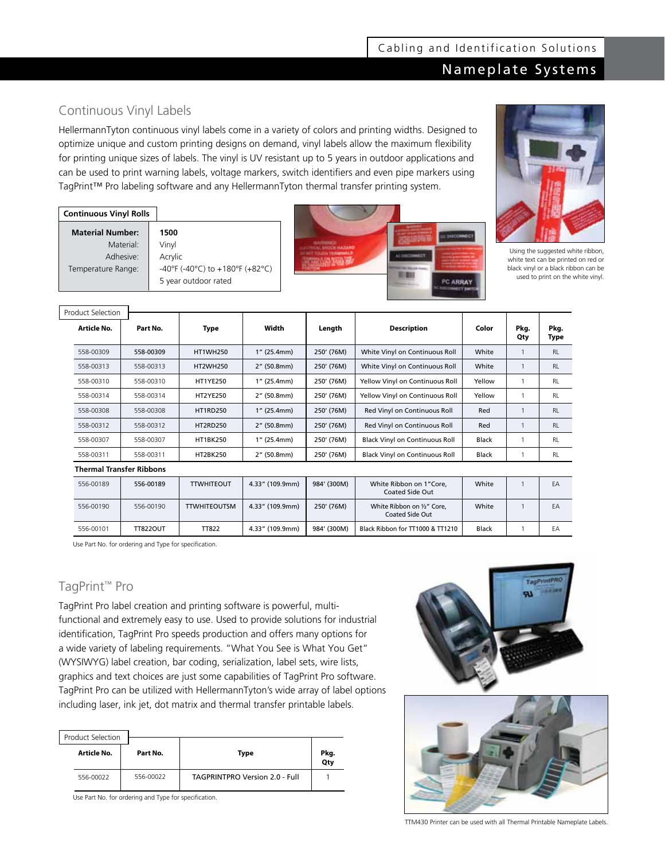## Nameplate Systems

## Continuous Vinyl Labels

HellermannTyton continuous vinyl labels come in a variety of colors and printing widths. Designed to optimize unique and custom printing designs on demand, vinyl labels allow the maximum flexibility for printing unique sizes of labels. The vinyl is UV resistant up to 5 years in outdoor applications and can be used to print warning labels, voltage markers, switch identifiers and even pipe markers using TagPrint™ Pro labeling software and any HellermannTyton thermal transfer printing system.

| <b>Continuous Vinyl Rolls</b> |                                 |
|-------------------------------|---------------------------------|
| <b>Material Number:</b>       | 1500                            |
| Material:                     | Vinyl                           |
| Adhesive:                     | Acrylic                         |
| Temperature Range:            | -40°F (-40°C) to +180°F (+82°C) |
|                               | 5 year outdoor rated            |





Using the suggested white ribbon, white text can be printed on red or black vinyl or a black ribbon can be used to print on the white vinyl.

| Product Selection               |           |                 |             |            |                                       |              |      |           |
|---------------------------------|-----------|-----------------|-------------|------------|---------------------------------------|--------------|------|-----------|
| Article No.                     | Part No.  | Type            | Width       | Length     | <b>Description</b>                    | Color        | Pkg. | Pkg.      |
|                                 |           |                 |             |            |                                       |              | Qty  | Type      |
| 558-00309                       | 558-00309 | <b>HT1WH250</b> | 1" (25.4mm) | 250' (76M) | White Vinyl on Continuous Roll        | White        |      | <b>RL</b> |
| 558-00313                       | 558-00313 | <b>HT2WH250</b> | 2" (50.8mm) | 250' (76M) | White Vinyl on Continuous Roll        | White        |      | <b>RL</b> |
| 558-00310                       | 558-00310 | <b>HT1YE250</b> | 1" (25.4mm) | 250' (76M) | Yellow Vinyl on Continuous Roll       | Yellow       |      | <b>RL</b> |
| 558-00314                       | 558-00314 | <b>HT2YE250</b> | 2" (50.8mm) | 250' (76M) | Yellow Vinyl on Continuous Roll       | Yellow       |      | <b>RL</b> |
| 558-00308                       | 558-00308 | <b>HT1RD250</b> | 1" (25.4mm) | 250' (76M) | Red Vinyl on Continuous Roll          | Red          |      | <b>RL</b> |
| 558-00312                       | 558-00312 | <b>HT2RD250</b> | 2" (50.8mm) | 250' (76M) | Red Vinyl on Continuous Roll          | Red          |      | <b>RL</b> |
| 558-00307                       | 558-00307 | <b>HT1BK250</b> | 1" (25.4mm) | 250' (76M) | <b>Black Vinyl on Continuous Roll</b> | <b>Black</b> |      | <b>RL</b> |
| 558-00311                       | 558-00311 | <b>HT2BK250</b> | 2" (50.8mm) | 250' (76M) | <b>Black Vinyl on Continuous Roll</b> | Black        |      | <b>RL</b> |
| <b>Thermal Transfer Ribbons</b> |           |                 |             |            |                                       |              |      |           |
|                                 |           |                 |             |            |                                       |              |      |           |

| 556-00189 | 556-00189       | <b>TTWHITEOUT</b>   | 4.33" (109.9mm) | 984' (300M) | White Ribbon on 1"Core,<br>Coated Side Out           | White        | EA |
|-----------|-----------------|---------------------|-----------------|-------------|------------------------------------------------------|--------------|----|
| 556-00190 | 556-00190       | <b>TTWHITEOUTSM</b> | 4.33" (109.9mm) | 250' (76M)  | White Ribbon on 1/2" Core,<br><b>Coated Side Out</b> | White        | EA |
| 556-00101 | <b>TT822OUT</b> | <b>TT822</b>        | 4.33" (109.9mm) | 984' (300M) | Black Ribbon for TT1000 & TT1210                     | <b>Black</b> | EA |

Use Part No. for ordering and Type for specification.

# TagPrint™ Pro

TagPrint Pro label creation and printing software is powerful, multifunctional and extremely easy to use. Used to provide solutions for industrial identification, TagPrint Pro speeds production and offers many options for a wide variety of labeling requirements. "What You See is What You Get" (WYSIWYG) label creation, bar coding, serialization, label sets, wire lists, graphics and text choices are just some capabilities of TagPrint Pro software. TagPrint Pro can be utilized with HellermannTyton's wide array of label options including laser, ink jet, dot matrix and thermal transfer printable labels.

| <b>Product Selection</b> |           |                                       |             |
|--------------------------|-----------|---------------------------------------|-------------|
| Article No.              | Part No.  | <b>Type</b>                           | Pkg.<br>Qty |
| 556-00022                | 556-00022 | <b>TAGPRINTPRO Version 2.0 - Full</b> |             |

Use Part No. for ordering and Type for specification.





TTM430 Printer can be used with all Thermal Printable Nameplate Labels.